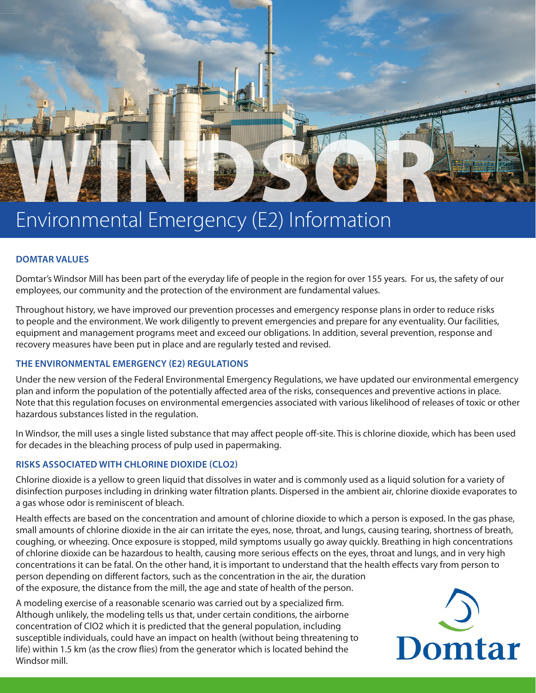

# Environmental Emergency (E2) Information

# **DOMTAR VALUES**

Domtar's Windsor Mill has been part of the everyday life of people in the region for over 155 years. For us, the safety of our employees, our community and the protection of the environment are fundamental values.

Throughout history, we have improved our prevention processes and emergency response plans in order to reduce risks to people and the environment. We work diligently to prevent emergencies and prepare for any eventuality. Our facilities, equipment and management programs meet and exceed our obligations. In addition, several prevention, response and recovery measures have been put in place and are regularly tested and revised.

# **THE ENVIRONMENTAL EMERGENCY (E2) REGULATIONS**

Under the new version of the Federal Environmental Emergency Regulations, we have updated our environmental emergency plan and inform the population of the potentially affected area of the risks, consequences and preventive actions in place. Note that this regulation focuses on environmental emergencies associated with various likelihood of releases of toxic or other hazardous substances listed in the regulation.

In Windsor, the mill uses a single listed substance that may affect people off-site. This is chlorine dioxide, which has been used for decades in the bleaching process of pulp used in papermaking.

# **RISKS ASSOCIATED WITH CHLORINE DIOXIDE (CLO2)**

Chlorine dioxide is a yellow to green liquid that dissolves in water and is commonly used as a liquid solution for a variety of disinfection purposes including in drinking water filtration plants. Dispersed in the ambient air, chlorine dioxide evaporates to a gas whose odor is reminiscent of bleach.

Health effects are based on the concentration and amount of chlorine dioxide to which a person is exposed. In the gas phase, small amounts of chlorine dioxide in the air can irritate the eyes, nose, throat, and lungs, causing tearing, shortness of breath, coughing, or wheezing. Once exposure is stopped, mild symptoms usually go away quickly. Breathing in high concentrations of chlorine dioxide can be hazardous to health, causing more serious effects on the eyes, throat and lungs, and in very high concentrations it can be fatal. On the other hand, it is important to understand that the health effects vary from person to person depending on different factors, such as the concentration in the air, the duration of the exposure, the distance from the mill, the age and state of health of the person.

A modeling exercise of a reasonable scenario was carried out by a specialized firm. Although unlikely, the modeling tells us that, under certain conditions, the airborne concentration of ClO2 which it is predicted that the general population, including susceptible individuals, could have an impact on health (without being threatening to life) within 1.5 km (as the crow flies) from the generator which is located behind the Windsor mill.